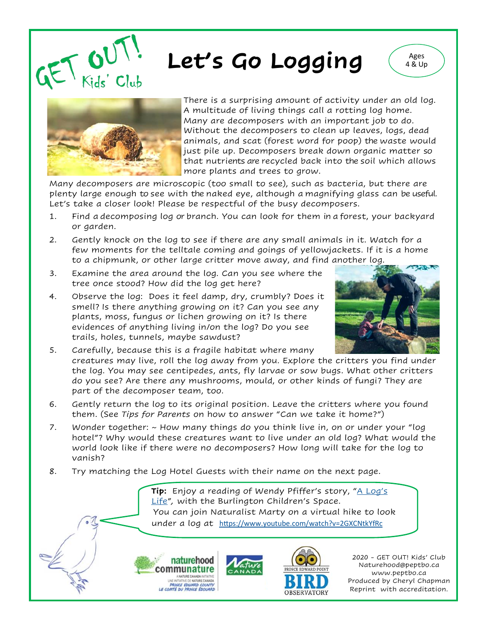

## Let's Go Logging (Ages





There is a surprising amount of activity under an old log. A multitude of living things call a rotting log home. Many are decomposers with an important job to do. Without the decomposers to clean up leaves, logs, dead animals, and scat (forest word for poop) the waste would just pile up. Decomposers break down organic matter so that nutrients are recycled back into the soil which allows more plants and trees to grow.

Many decomposers are microscopic (too small to see), such as bacteria, but there are plenty large enough to see with the naked eye, although a magnifying glass can be useful. Let's take a closer look! Please be respectful of the busy decomposers.

- 1. Find a decomposing log or branch. You can look for them in a forest, your backyard or garden.
- 2. Gently knock on the log to see if there are any small animals in it. Watch for a few moments for the telltale coming and goings of yellowjackets. If it is a home to a chipmunk, or other large critter move away, and find another log.
- 3. Examine the area around the log. Can you see where the tree once stood? How did the log get here?
- 4. Observe the log: Does it feel damp, dry, crumbly? Does it smell? Is there anything growing on it? Can you see any plants, moss, fungus or lichen growing on it? Is there evidences of anything living in/on the log? Do you see trails, holes, tunnels, maybe sawdust?



- 5. Carefully, because this is a fragile habitat where many creatures may live, roll the log away from you. Explore the critters you find under the log. You may see centipedes, ants, fly larvae or sow bugs. What other critters do you see? Are there any mushrooms, mould, or other kinds of fungi? They are part of the decomposer team, too.
- 6. Gently return the log to its original position. Leave the critters where you found them. (See *Tips for Parents* on how to answer "Can we take it home?")
- 7. Wonder together: ~ How many things do you think live in, on or under your "log hotel"? Why would these creatures want to live under an old log? What would the world look like if there were no decomposers? How long will take for the log to vanish?
- 8. Try matching the Log Hotel Guests with their name on the next page.

**Tip:** Enjoy a reading of Wendy Pfiffer's story, "[A Log](https://www.facebook.com/watch/?ref=external&v=659666648144825)'s [Life](https://www.facebook.com/watch/?ref=external&v=659666648144825)"*,* with the Burlington Children's Space. You can join Naturalist Marty on a virtual hike to look under a log at <https://www.youtube.com/watch?v=2GXCNtkYfRc>





2020 - GET OUT! Kids' Club Naturehood@peptbo.ca www.peptbo.ca Produced by Cheryl Chapman Reprint with accreditation.